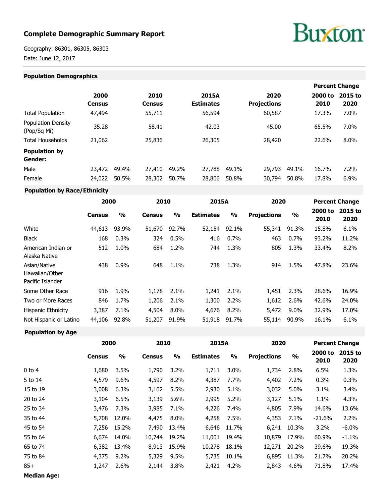# **Complete Demographic Summary Report**

# **Buxton**

Geography: 86301, 86305, 86303 Date: June 12, 2017

#### **Population Demographics**

|                                   |                       |       |                       |       |                           |       |                            |       |                 | <b>Percent Change</b> |
|-----------------------------------|-----------------------|-------|-----------------------|-------|---------------------------|-------|----------------------------|-------|-----------------|-----------------------|
|                                   | 2000<br><b>Census</b> |       | 2010<br><b>Census</b> |       | 2015A<br><b>Estimates</b> |       | 2020<br><b>Projections</b> |       | 2000 to<br>2010 | 2015 to<br>2020       |
| <b>Total Population</b>           | 47,494                |       | 55,711                |       | 56,594                    |       | 60,587                     |       | 17.3%           | 7.0%                  |
| Population Density<br>(Pop/Sq Mi) | 35.28                 |       | 58.41                 |       | 42.03                     |       | 45.00                      |       | 65.5%           | 7.0%                  |
| <b>Total Households</b>           | 21,062                |       | 25,836                |       | 26,305                    |       | 28,420                     |       | 22.6%           | 8.0%                  |
| <b>Population by</b><br>Gender:   |                       |       |                       |       |                           |       |                            |       |                 |                       |
| Male                              | 23,472                | 49.4% | 27,410                | 49.2% | 27,788                    | 49.1% | 29,793                     | 49.1% | 16.7%           | 7.2%                  |
| Female                            | 24,022                | 50.5% | 28,302                | 50.7% | 28,806                    | 50.8% | 30,794                     | 50.8% | 17.8%           | 6.9%                  |

#### **Population by Race/Ethnicity**

| 2000          |               | 2010          |               | 2015A            |               | 2020               |               | <b>Percent Change</b> |                 |
|---------------|---------------|---------------|---------------|------------------|---------------|--------------------|---------------|-----------------------|-----------------|
| <b>Census</b> | $\frac{0}{0}$ | <b>Census</b> | $\frac{0}{0}$ | <b>Estimates</b> | $\frac{0}{0}$ | <b>Projections</b> | $\frac{0}{0}$ | 2000 to<br>2010       | 2015 to<br>2020 |
| 44,613        | 93.9%         | 51,670        | 92.7%         | 52,154           | 92.1%         | 55,341             | 91.3%         | 15.8%                 | 6.1%            |
| 168           | 0.3%          | 324           | 0.5%          | 416              | 0.7%          | 463                | 0.7%          | 93.2%                 | 11.2%           |
| 512           | 1.0%          | 684           | 1.2%          | 744              | 1.3%          | 805                | 1.3%          | 33.4%                 | 8.2%            |
| 438           | 0.9%          | 648           | 1.1%          | 738              | 1.3%          | 914                | 1.5%          | 47.8%                 | 23.6%           |
| 916           | 1.9%          | 1,178         | 2.1%          | 1,241            | 2.1%          | 1,451              | 2.3%          | 28.6%                 | 16.9%           |
| 846           | 1.7%          | 1,206         | 2.1%          | 1,300            | 2.2%          | 1,612              | 2.6%          | 42.6%                 | 24.0%           |
| 3,387         | 7.1%          | 4,504         | $8.0\%$       | 4,676            | 8.2%          | 5,472              | $9.0\%$       | 32.9%                 | 17.0%           |
| 44,106        | 92.8%         | 51,207        | 91.9%         | 51,918           | 91.7%         | 55,114             | 90.9%         | 16.1%                 | 6.1%            |
|               |               |               |               |                  |               |                    |               |                       |                 |

# **2000 2010 2015A 2020 Percent Change Census % Census % Estimates % Projections % 2000 to 2015 to 2010 2020** 0 to 4 1,680 3.5% 1,790 3.2% 1,711 3.0% 1,734 2.8% 6.5% 1.3% 5 to 14 4,579 9.6% 4,597 8.2% 4,387 7.7% 4,402 7.2% 0.3% 0.3% 15 to 19 3,008 6.3% 3,102 5.5% 2,930 5.1% 3,032 5.0% 3.1% 3.4% 20 to 24 3,104 6.5% 3,139 5.6% 2,995 5.2% 3,127 5.1% 1.1% 4.3% 25 to 34 3,476 7.3% 3,985 7.1% 4,226 7.4% 4,805 7.9% 14.6% 13.6% 35 to 44 5,708 12.0% 4,475 8.0% 4,258 7.5% 4,353 7.1% -21.6% 2.2% 45 to 54 7,256 15.2% 7,490 13.4% 6,646 11.7% 6,241 10.3% 3.2% -6.0% 55 to 64 6,674 14.0% 10,744 19.2% 11,001 19.4% 10,879 17.9% 60.9% -1.1% 65 to 74 6,382 13.4% 8,913 15.9% 10,278 18.1% 12,271 20.2% 39.6% 19.3% 75 to 84 4,375 9.2% 5,329 9.5% 5,735 10.1% 6,895 11.3% 21.7% 20.2% 85+ 1,247 2.6% 2,144 3.8% 2,421 4.2% 2,843 4.6% 71.8% 17.4%

**Median Age:**

**Population by Age**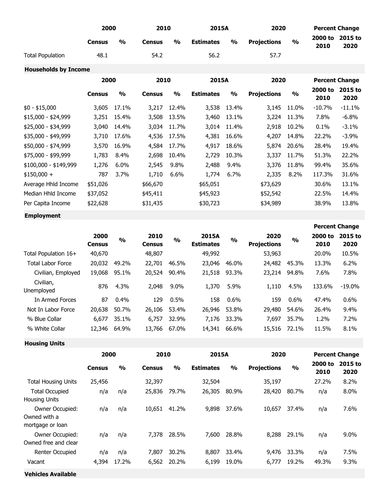|                             | 2000          |               | 2010          |                         | 2015A            |                         | 2020               |                         | <b>Percent Change</b> |                       |
|-----------------------------|---------------|---------------|---------------|-------------------------|------------------|-------------------------|--------------------|-------------------------|-----------------------|-----------------------|
|                             | <b>Census</b> | $\frac{1}{2}$ | <b>Census</b> | $\mathbf{0}/\mathbf{0}$ | <b>Estimates</b> | $\frac{1}{2}$           | <b>Projections</b> | $\frac{1}{2}$           | 2000 to<br>2010       | 2015 to<br>2020       |
| <b>Total Population</b>     | 48.1          |               | 54.2          |                         | 56.2             |                         | 57.7               |                         |                       |                       |
| <b>Households by Income</b> |               |               |               |                         |                  |                         |                    |                         |                       |                       |
|                             | 2000          |               | 2010          |                         | 2015A            |                         | 2020               |                         |                       | <b>Percent Change</b> |
|                             | <b>Census</b> | $\frac{1}{2}$ | <b>Census</b> | $\frac{1}{2}$           | <b>Estimates</b> | $\mathbf{O}/\mathbf{o}$ | <b>Projections</b> | $\mathbf{O}/\mathbf{O}$ | 2000 to<br>2010       | 2015 to<br>2020       |
| $$0 - $15,000$              | 3,605         | 17.1%         | 3,217         | 12.4%                   | 3,538            | 13.4%                   | 3,145              | 11.0%                   | $-10.7%$              | $-11.1%$              |
| \$15,000 - \$24,999         | 3,251         | 15.4%         | 3,508         | 13.5%                   | 3,460            | 13.1%                   | 3,224              | 11.3%                   | 7.8%                  | $-6.8%$               |
| \$25,000 - \$34,999         | 3,040         | 14.4%         | 3,034         | 11.7%                   | 3,014            | 11.4%                   | 2,918              | 10.2%                   | 0.1%                  | $-3.1%$               |
| \$35,000 - \$49,999         | 3,710         | 17.6%         | 4,536         | 17.5%                   | 4,381            | 16.6%                   | 4,207              | 14.8%                   | 22.2%                 | $-3.9%$               |
| \$50,000 - \$74,999         | 3,570         | 16.9%         | 4,584         | 17.7%                   | 4,917            | 18.6%                   | 5,874              | 20.6%                   | 28.4%                 | 19.4%                 |
| \$75,000 - \$99,999         | 1,783         | 8.4%          | 2,698         | 10.4%                   | 2,729            | 10.3%                   | 3,337              | 11.7%                   | 51.3%                 | 22.2%                 |
| $$100,000 - $149,999$       | 1,276         | 6.0%          | 2,545         | 9.8%                    | 2,488            | 9.4%                    | 3,376              | 11.8%                   | 99.4%                 | 35.6%                 |
| $$150,000 +$                | 787           | 3.7%          | 1,710         | 6.6%                    | 1,774            | 6.7%                    | 2,335              | 8.2%                    | 117.3%                | 31.6%                 |
| Average Hhld Income         | \$51,026      |               | \$66,670      |                         | \$65,051         |                         | \$73,629           |                         | 30.6%                 | 13.1%                 |
| Median Hhld Income          | \$37,052      |               | \$45,411      |                         | \$45,923         |                         | \$52,542           |                         | 22.5%                 | 14.4%                 |
| Per Capita Income           | \$22,628      |               | \$31,435      |                         | \$30,723         |                         | \$34,989           |                         | 38.9%                 | 13.8%                 |
| <b>Employment</b>           |               |               |               |                         |                  |                         |                    |                         |                       |                       |

#### **Percent Change 2000 Census % 2010 Census % 2015A Estimates % 2020 Projections % 2000 to 2015 to 2010 2020** Total Population 16+ 40,670 48,807 49,992 53,963 20.0% 10.5% Total Labor Force 20,032 49.2% 22,701 46.5% 23,046 46.0% 24,482 45.3% 13.3% 6.2% Civilian, Employed 19,068 95.1% 20,524 90.4% 21,518 93.3% 23,214 94.8% 7.6% 7.8% Civilian, Unemployed <sup>876</sup> 4.3% 2,048 9.0% 1,370 5.9% 1,110 4.5% 133.6% -19.0% In Armed Forces 87 0.4% 129 0.5% 158 0.6% 159 0.6% 47.4% 0.6% Not In Labor Force 20,638 50.7% 26,106 53.4% 26,946 53.8% 29,480 54.6% 26.4% 9.4% % Blue Collar 6,677 35.1% 6,757 32.9% 7,176 33.3% 7,697 35.7% 1.2% 7.2% % White Collar 12,346 64.9% 13,766 67.0% 14,341 66.6% 15,516 72.1% 11.5% 8.1%

**Housing Units**

|                                                     | 2000          |               | 2010          |               | 2015A            |               | 2020               |               |                 | <b>Percent Change</b> |
|-----------------------------------------------------|---------------|---------------|---------------|---------------|------------------|---------------|--------------------|---------------|-----------------|-----------------------|
|                                                     | <b>Census</b> | $\frac{0}{0}$ | <b>Census</b> | $\frac{0}{0}$ | <b>Estimates</b> | $\frac{0}{0}$ | <b>Projections</b> | $\frac{0}{0}$ | 2000 to<br>2010 | 2015 to<br>2020       |
| <b>Total Housing Units</b>                          | 25,456        |               | 32,397        |               | 32,504           |               | 35,197             |               | 27.2%           | 8.2%                  |
| <b>Total Occupied</b><br><b>Housing Units</b>       | n/a           | n/a           | 25,836        | 79.7%         | 26,305           | 80.9%         | 28,420             | 80.7%         | n/a             | 8.0%                  |
| Owner Occupied:<br>Owned with a<br>mortgage or loan | n/a           | n/a           | 10,651        | 41.2%         | 9,898            | 37.6%         | 10,657             | 37.4%         | n/a             | 7.6%                  |
| Owner Occupied:<br>Owned free and clear             | n/a           | n/a           | 7,378         | 28.5%         | 7,600            | 28.8%         | 8,288              | 29.1%         | n/a             | $9.0\%$               |
| Renter Occupied                                     | n/a           | n/a           | 7,807         | 30.2%         | 8,807            | 33.4%         | 9,476              | 33.3%         | n/a             | 7.5%                  |
| Vacant                                              | 4,394         | 17.2%         | 6,562         | 20.2%         | 6,199            | 19.0%         | 6,777              | 19.2%         | 49.3%           | 9.3%                  |
| <b>Vehicles Available</b>                           |               |               |               |               |                  |               |                    |               |                 |                       |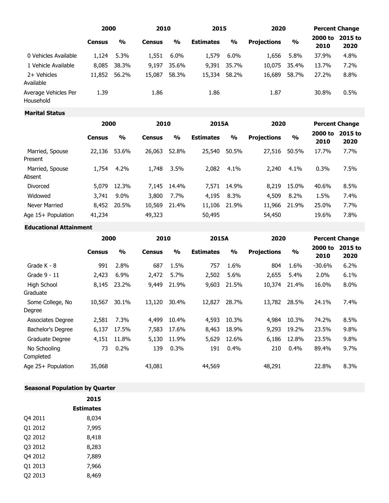|                                   | 2000          |               | 2010          |               | 2015             |               | 2020               |               | <b>Percent Change</b> |                 |
|-----------------------------------|---------------|---------------|---------------|---------------|------------------|---------------|--------------------|---------------|-----------------------|-----------------|
|                                   | <b>Census</b> | $\frac{0}{0}$ | <b>Census</b> | $\frac{0}{0}$ | <b>Estimates</b> | $\frac{0}{0}$ | <b>Projections</b> | $\frac{0}{0}$ | 2000 to<br>2010       | 2015 to<br>2020 |
| 0 Vehicles Available              | 1,124         | 5.3%          | 1,551         | $6.0\%$       | 1,579            | $6.0\%$       | 1,656              | 5.8%          | 37.9%                 | 4.8%            |
| 1 Vehicle Available               | 8,085         | 38.3%         | 9,197         | 35.6%         | 9,391            | 35.7%         | 10,075             | 35.4%         | 13.7%                 | 7.2%            |
| 2+ Vehicles<br>Available          | 11,852        | 56.2%         | 15,087        | 58.3%         | 15,334           | 58.2%         | 16,689             | 58.7%         | 27.2%                 | 8.8%            |
| Average Vehicles Per<br>Household | 1.39          |               | 1.86          |               | 1.86             |               | 1.87               |               | 30.8%                 | 0.5%            |

## **Marital Status**

|                                      | 2000          |               | 2010          |               | 2015A            |               | 2020               |               |                 | <b>Percent Change</b> |
|--------------------------------------|---------------|---------------|---------------|---------------|------------------|---------------|--------------------|---------------|-----------------|-----------------------|
|                                      | <b>Census</b> | $\frac{0}{0}$ | <b>Census</b> | $\frac{0}{0}$ | <b>Estimates</b> | $\frac{0}{0}$ | <b>Projections</b> | $\frac{1}{2}$ | 2000 to<br>2010 | 2015 to<br>2020       |
| Married, Spouse                      | 22,136        | 53.6%         | 26,063        | 52.8%         | 25,540           | 50.5%         | 27,516             | 50.5%         | 17.7%           | 7.7%                  |
| Present<br>Married, Spouse<br>Absent | 1,754         | 4.2%          | 1,748         | 3.5%          | 2,082            | 4.1%          | 2,240              | 4.1%          | 0.3%            | 7.5%                  |
| Divorced                             | 5,079         | 12.3%         | 7.145         | 14.4%         | 7.571            | 14.9%         | 8,219              | 15.0%         | 40.6%           | 8.5%                  |
| Widowed                              | 3,741         | 9.0%          | 3,800         | 7.7%          | 4,195            | 8.3%          | 4,509              | 8.2%          | 1.5%            | 7.4%                  |
| Never Married                        | 8,452         | 20.5%         | 10,569        | 21.4%         | 11,106           | 21.9%         | 11,966             | 21.9%         | 25.0%           | 7.7%                  |
| Age 15+ Population                   | 41,234        |               | 49,323        |               | 50,495           |               | 54,450             |               | 19.6%           | 7.8%                  |

### **Educational Attainment**

|                            |               | 2000          |               | 2010          |                  | 2015A         |                    | 2020          |                 | <b>Percent Change</b> |  |
|----------------------------|---------------|---------------|---------------|---------------|------------------|---------------|--------------------|---------------|-----------------|-----------------------|--|
|                            | <b>Census</b> | $\frac{0}{0}$ | <b>Census</b> | $\frac{0}{0}$ | <b>Estimates</b> | $\frac{9}{6}$ | <b>Projections</b> | $\frac{0}{0}$ | 2000 to<br>2010 | 2015 to<br>2020       |  |
| Grade K - 8                | 991           | 2.8%          | 687           | 1.5%          | 757              | 1.6%          | 804                | 1.6%          | $-30.6%$        | 6.2%                  |  |
| Grade 9 - 11               | 2,423         | 6.9%          | 2,472         | 5.7%          | 2,502            | 5.6%          | 2,655              | 5.4%          | 2.0%            | 6.1%                  |  |
| High School<br>Graduate    | 8,145         | 23.2%         | 9,449         | 21.9%         | 9,603            | 21.5%         | 10,374             | 21.4%         | 16.0%           | 8.0%                  |  |
| Some College, No<br>Degree | 10,567        | 30.1%         | 13,120        | 30.4%         | 12,827           | 28.7%         | 13,782             | 28.5%         | 24.1%           | 7.4%                  |  |
| Associates Degree          | 2,581         | 7.3%          | 4,499         | 10.4%         | 4,593            | 10.3%         | 4,984              | 10.3%         | 74.2%           | 8.5%                  |  |
| Bachelor's Degree          | 6,137         | 17.5%         | 7,583         | 17.6%         | 8,463            | 18.9%         | 9,293              | 19.2%         | 23.5%           | 9.8%                  |  |
| Graduate Degree            | 4,151         | 11.8%         | 5,130         | 11.9%         | 5,629            | 12.6%         | 6,186              | 12.8%         | 23.5%           | 9.8%                  |  |
| No Schooling<br>Completed  | 73            | 0.2%          | 139           | 0.3%          | 191              | 0.4%          | 210                | 0.4%          | 89.4%           | 9.7%                  |  |
| Age 25+ Population         | 35,068        |               | 43,081        |               | 44,569           |               | 48,291             |               | 22.8%           | 8.3%                  |  |

# **Seasonal Population by Quarter**

|         | 2015             |
|---------|------------------|
|         | <b>Estimates</b> |
| Q4 2011 | 8,034            |
| O1 2012 | 7,995            |
| Q2 2012 | 8,418            |
| Q3 2012 | 8,283            |
| Q4 2012 | 7,889            |
| 01 2013 | 7,966            |
| Q2 2013 | 8.469            |